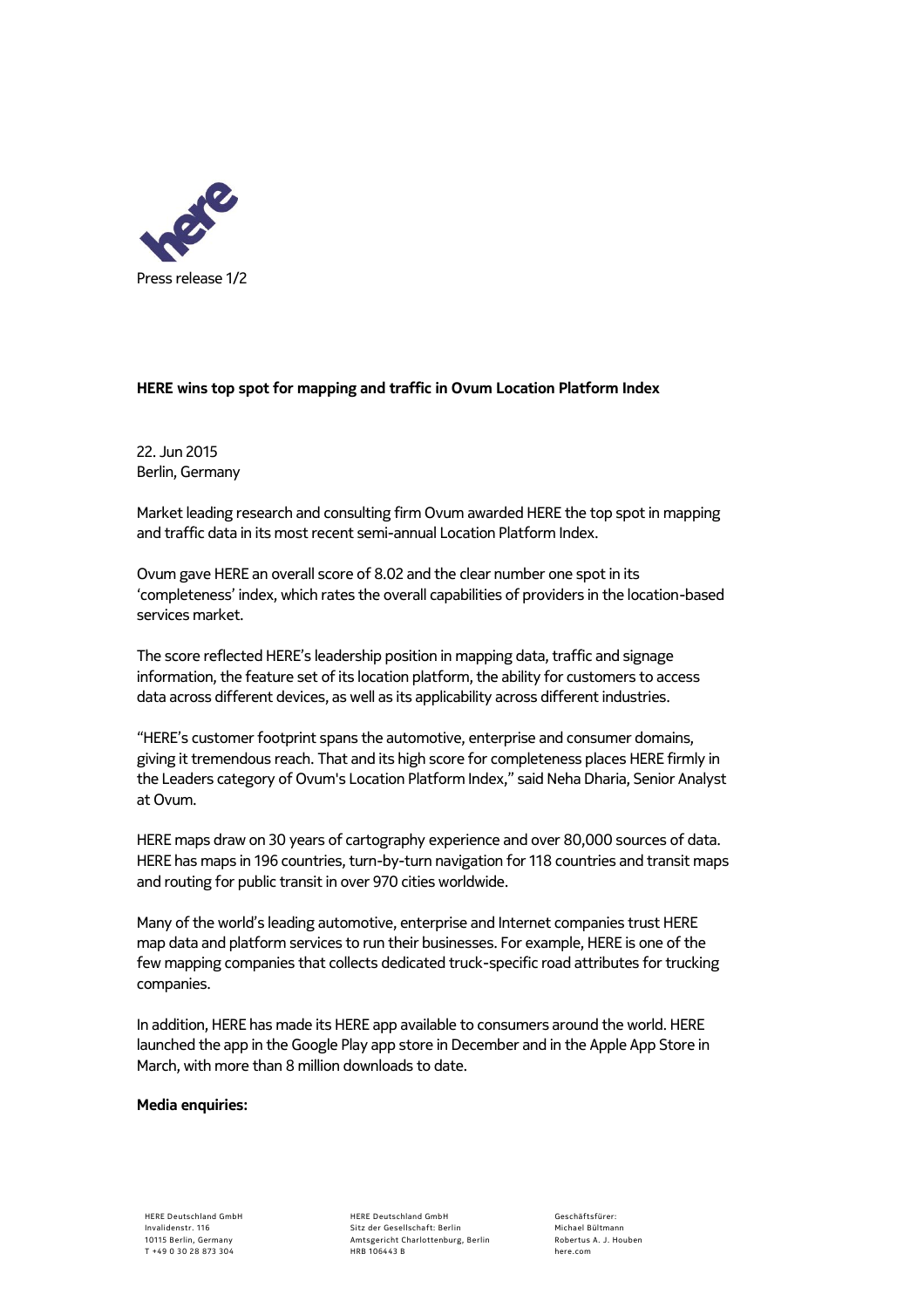

## **HERE wins top spot for mapping and traffic in Ovum Location Platform Index**

22. Jun 2015 Berlin, Germany

Market leading research and consulting firm Ovum awarded HERE the top spot in mapping and traffic data in its most recent semi-annual Location Platform Index.

Ovum gave HERE an overall score of 8.02 and the clear number one spot in its 'completeness' index, which rates the overall capabilities of providers in the location-based services market.

The score reflected HERE's leadership position in mapping data, traffic and signage information, the feature set of its location platform, the ability for customers to access data across different devices, as well as its applicability across different industries.

"HERE's customer footprint spans the automotive, enterprise and consumer domains, giving it tremendous reach. That and its high score for completeness places HERE firmly in the Leaders category of Ovum's Location Platform Index," said Neha Dharia, Senior Analyst at Ovum.

HERE maps draw on 30 years of cartography experience and over 80,000 sources of data. HERE has maps in 196 countries, turn-by-turn navigation for 118 countries and transit maps and routing for public transit in over 970 cities worldwide.

Many of the world's leading automotive, enterprise and Internet companies trust HERE map data and platform services to run their businesses. For example, HERE is one of the few mapping companies that collects dedicated truck-specific road attributes for trucking companies.

In addition, HERE has made its HERE app available to consumers around the world. HERE launched the app in the Google Play app store in December and in the Apple App Store in March, with more than 8 million downloads to date.

## **Media enquiries:**

HERE Deutschland GmbH Sitz der Gesellschaft: Berlin Amtsgericht Charlottenburg, Berlin HRB 106443 B